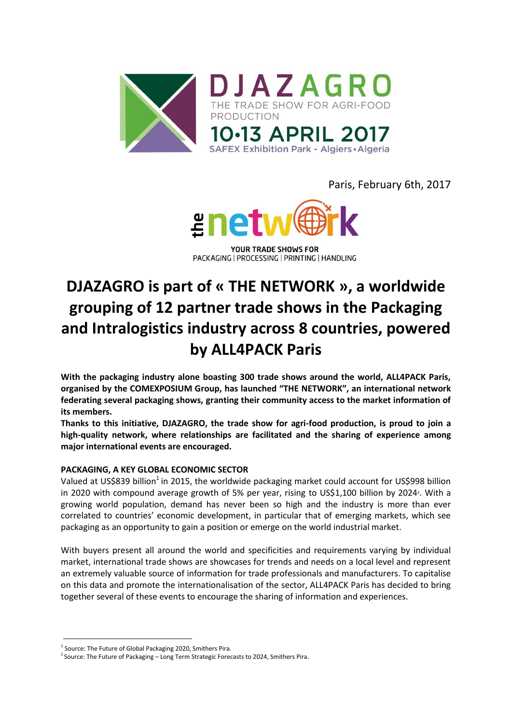

Paris, February 6th, 2017



PACKAGING | PROCESSING | PRINTING | HANDLING

# **DJAZAGRO is part of « THE NETWORK », a worldwide grouping of 12 partner trade shows in the Packaging and Intralogistics industry across 8 countries, powered by ALL4PACK Paris**

**With the packaging industry alone boasting 300 trade shows around the world, ALL4PACK Paris, organised by the COMEXPOSIUM Group, has launched "THE NETWORK", an international network federating several packaging shows, granting their community access to the market information of its members.** 

**Thanks to this initiative, DJAZAGRO, the trade show for agri-food production, is proud to join a high-quality network, where relationships are facilitated and the sharing of experience among major international events are encouraged.**

#### **PACKAGING, A KEY GLOBAL ECONOMIC SECTOR**

Valued at US\$839 billion<sup>1</sup> in 2015, the worldwide packaging market could account for US\$998 billion in 2020 with compound average growth of 5% per year, rising to US\$1,100 billion by 2024². With a growing world population, demand has never been so high and the industry is more than ever correlated to countries' economic development, in particular that of emerging markets, which see packaging as an opportunity to gain a position or emerge on the world industrial market.

With buyers present all around the world and specificities and requirements varying by individual market, international trade shows are showcases for trends and needs on a local level and represent an extremely valuable source of information for trade professionals and manufacturers. To capitalise on this data and promote the internationalisation of the sector, ALL4PACK Paris has decided to bring together several of these events to encourage the sharing of information and experiences.

<sup>&</sup>lt;sup>1</sup> Source: The Future of Global Packaging 2020, Smithers Pira.

 $^{2}$  Source: The Future of Packaging – Long Term Strategic Forecasts to 2024, Smithers Pira.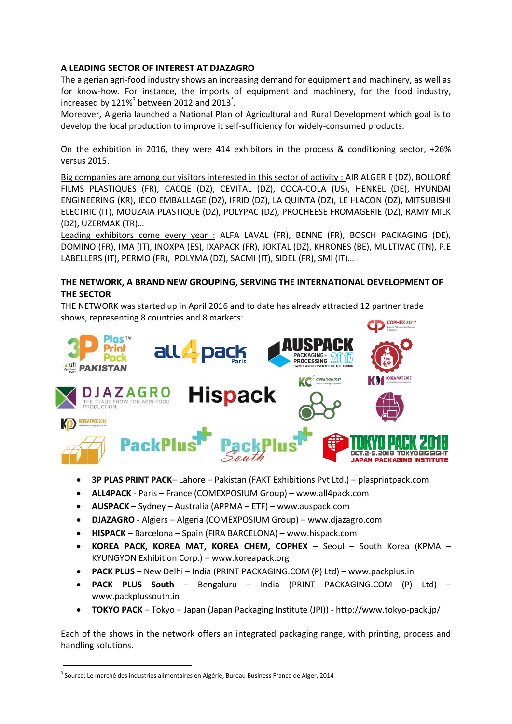#### **A LEADING SECTOR OF INTEREST AT DJAZAGRO**

The algerian agri-food industry shows an increasing demand for equipment and machinery, as well as for know-how. For instance, the imports of equipment and machinery, for the food industry, increased by 121%<sup>3</sup> between 2012 and 2013<sup>3</sup>.

Moreover, Algeria launched a National Plan of Agricultural and Rural Development which goal is to develop the local production to improve it self-sufficiency for widely-consumed products.

On the exhibition in 2016, they were 414 exhibitors in the process & conditioning sector, +26% versus 2015.

Big companies are among our visitors interested in this sector of activity : AIR ALGERIE (DZ), BOLLORÉ FILMS PLASTIQUES (FR), CACQE (DZ), CEVITAL (DZ), COCA-COLA (US), HENKEL (DE), HYUNDAI ENGINEERING (KR), IECO EMBALLAGE (DZ), IFRID (DZ), LA QUINTA (DZ), LE FLACON (DZ), MITSUBISHI ELECTRIC (IT), MOUZAIA PLASTIQUE (DZ), POLYPAC (DZ), PROCHEESE FROMAGERIE (DZ), RAMY MILK (DZ), UZERMAK (TR)…

Leading exhibitors come every year : ALFA LAVAL (FR), BENNE (FR), BOSCH PACKAGING (DE), DOMINO (FR), IMA (IT), INOXPA (ES), IXAPACK (FR), JOKTAL (DZ), KHRONES (BE), MULTIVAC (TN), P.E LABELLERS (IT), PERMO (FR), POLYMA (DZ), SACMI (IT), SIDEL (FR), SMI (IT)…

#### **THE NETWORK, A BRAND NEW GROUPING, SERVING THE INTERNATIONAL DEVELOPMENT OF THE SECTOR**

THE NETWORK was started up in April 2016 and to date has already attracted 12 partner trade shows, representing 8 countries and 8 markets:



- **3P PLAS PRINT PACK** Lahore Pakistan (FAKT Exhibitions Pvt Ltd.) plasprintpack.com
- **ALL4PACK**  Paris France (COMEXPOSIUM Group) www.all4pack.com
- **AUSPACK**  Sydney Australia (APPMA ETF) www.auspack.com
- **DJAZAGRO**  Algiers Algeria (COMEXPOSIUM Group) www.djazagro.com
- **HISPACK**  Barcelona Spain (FIRA BARCELONA) www.hispack.com
- **KOREA PACK, KOREA MAT, KOREA CHEM, COPHEX**  Seoul South Korea (KPMA KYUNGYON Exhibition Corp.) – www.koreapack.org
- **PACK PLUS**  New Delhi India (PRINT PACKAGING.COM (P) Ltd) www.packplus.in
- **PACK PLUS South**  Bengaluru India (PRINT PACKAGING.COM (P) Ltd) www.packplussouth.in
- **TOKYO PACK**  Tokyo Japan (Japan Packaging Institute (JPI)) http://www.tokyo-pack.jp/

Each of the shows in the network offers an integrated packaging range, with printing, process and handling solutions.

<sup>&</sup>lt;sup>3</sup> Source: <u>Le marché des industries alimentaires en Algérie</u>, Bureau Business France de Alger, 2014